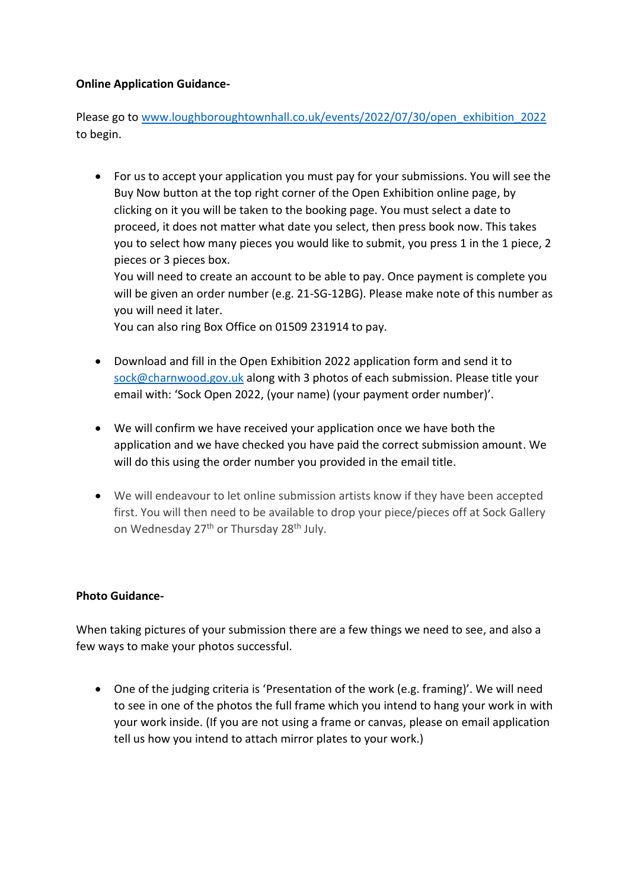## **Online Application Guidance-**

Please go to [www.loughboroughtownhall.co.uk/events/2022/07/30/open\\_exhibition\\_2022](http://www.loughboroughtownhall.co.uk/events/2022/07/30/open_exhibition_2022) to begin.

• For us to accept your application you must pay for your submissions. You will see the Buy Now button at the top right corner of the Open Exhibition online page, by clicking on it you will be taken to the booking page. You must select a date to proceed, it does not matter what date you select, then press book now. This takes you to select how many pieces you would like to submit, you press 1 in the 1 piece, 2 pieces or 3 pieces box.

You will need to create an account to be able to pay. Once payment is complete you will be given an order number (e.g. 21-SG-12BG). Please make note of this number as you will need it later.

You can also ring Box Office on 01509 231914 to pay.

- Download and fill in the Open Exhibition 2022 application form and send it to [sock@charnwood.gov.uk](mailto:sock@charnwood.gov.uk) along with 3 photos of each submission. Please title your email with: 'Sock Open 2022, (your name) (your payment order number)'.
- We will confirm we have received your application once we have both the application and we have checked you have paid the correct submission amount. We will do this using the order number you provided in the email title.
- We will endeavour to let online submission artists know if they have been accepted first. You will then need to be available to drop your piece/pieces off at Sock Gallery on Wednesday 27<sup>th</sup> or Thursday 28<sup>th</sup> July.

## **Photo Guidance-**

When taking pictures of your submission there are a few things we need to see, and also a few ways to make your photos successful.

• One of the judging criteria is 'Presentation of the work (e.g. framing)'. We will need to see in one of the photos the full frame which you intend to hang your work in with your work inside. (If you are not using a frame or canvas, please on email application tell us how you intend to attach mirror plates to your work.)